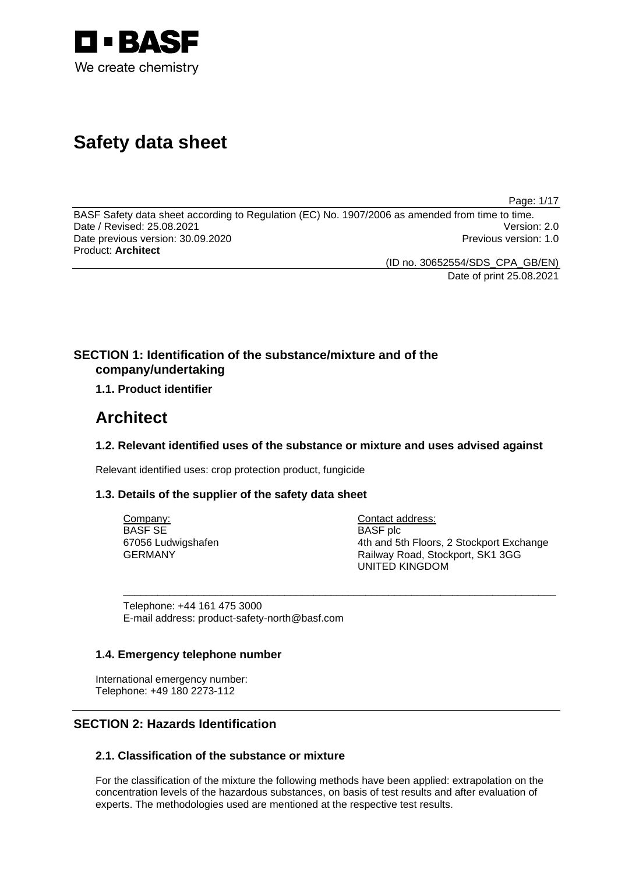

# **Safety data sheet**

Page: 1/17

BASF Safety data sheet according to Regulation (EC) No. 1907/2006 as amended from time to time. Date / Revised: 25.08.2021 Version: 2.0 Date previous version: 30.09.2020 **Previous version: 1.0** Previous version: 1.0 Product: **Architect** 

(ID no. 30652554/SDS\_CPA\_GB/EN)

Date of print 25.08.2021

# **SECTION 1: Identification of the substance/mixture and of the company/undertaking**

# **1.1. Product identifier**

# **Architect**

# **1.2. Relevant identified uses of the substance or mixture and uses advised against**

\_\_\_\_\_\_\_\_\_\_\_\_\_\_\_\_\_\_\_\_\_\_\_\_\_\_\_\_\_\_\_\_\_\_\_\_\_\_\_\_\_\_\_\_\_\_\_\_\_\_\_\_\_\_\_\_\_\_\_\_\_\_\_\_\_\_\_\_\_\_\_\_\_\_\_

Relevant identified uses: crop protection product, fungicide

# **1.3. Details of the supplier of the safety data sheet**

Company: BASF SE 67056 Ludwigshafen GERMANY

Contact address: BASF plc 4th and 5th Floors, 2 Stockport Exchange Railway Road, Stockport, SK1 3GG UNITED KINGDOM

Telephone: +44 161 475 3000 E-mail address: product-safety-north@basf.com

# **1.4. Emergency telephone number**

International emergency number: Telephone: +49 180 2273-112

# **SECTION 2: Hazards Identification**

# **2.1. Classification of the substance or mixture**

For the classification of the mixture the following methods have been applied: extrapolation on the concentration levels of the hazardous substances, on basis of test results and after evaluation of experts. The methodologies used are mentioned at the respective test results.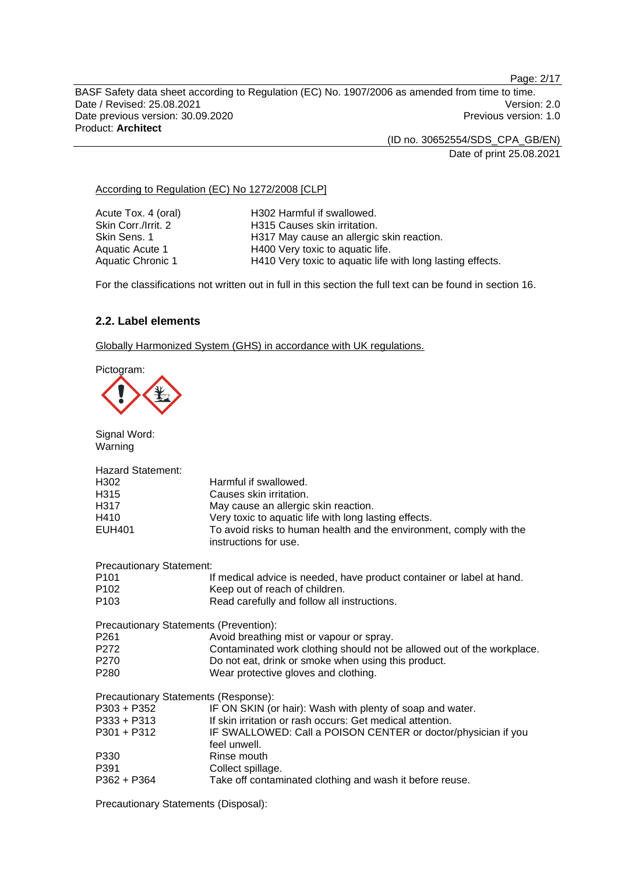Page: 2/17

BASF Safety data sheet according to Regulation (EC) No. 1907/2006 as amended from time to time. Date / Revised: 25.08.2021 Version: 2.0 Date previous version: 30.09.2020 **Previous version: 1.0** Previous version: 1.0 Product: **Architect** 

(ID no. 30652554/SDS\_CPA\_GB/EN)

Date of print 25.08.2021

#### According to Regulation (EC) No 1272/2008 [CLP]

Acute Tox. 4 (oral) **H302 Harmful if swallowed.**<br>
Skin Corr /Irrit 2 **H315 Causes skin irritation H315 Causes skin irritation.** Skin Sens. 1 **H317 May cause an allergic skin reaction.**<br>Aquatic Acute 1 **H400 Very toxic to aquatic life.** H400 Very toxic to aquatic life. Aquatic Chronic 1 **H410** Very toxic to aquatic life with long lasting effects.

For the classifications not written out in full in this section the full text can be found in section 16.

## **2.2. Label elements**

Globally Harmonized System (GHS) in accordance with UK regulations.

Pictogram:

Signal Word: Warning Hazard Statement: H302 Harmful if swallowed. H315 Causes skin irritation. H317 May cause an allergic skin reaction. H410 Very toxic to aquatic life with long lasting effects. EUH401 To avoid risks to human health and the environment, comply with the instructions for use. Precautionary Statement: P101 If medical advice is needed, have product container or label at hand. P102 Keep out of reach of children. P103 Read carefully and follow all instructions. Precautionary Statements (Prevention): P261 Avoid breathing mist or vapour or spray. P272 Contaminated work clothing should not be allowed out of the workplace. P270 Do not eat, drink or smoke when using this product. P280 Wear protective gloves and clothing. Precautionary Statements (Response):<br>P303 + P352 IF ON SKIN (o P303 + P352 IF ON SKIN (or hair): Wash with plenty of soap and water.<br>P333 + P313 If skin irritation or rash occurs: Get medical attention. If skin irritation or rash occurs: Get medical attention. P301 + P312 IF SWALLOWED: Call a POISON CENTER or doctor/physician if you feel unwell. P330 Rinse mouth P391 Collect spillage. P362 + P364 Take off contaminated clothing and wash it before reuse.

Precautionary Statements (Disposal):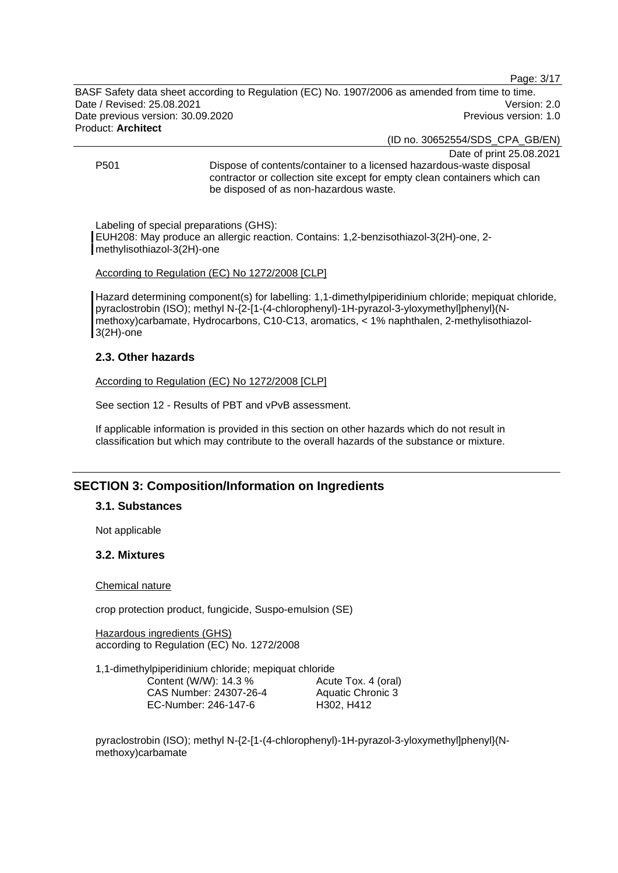Page: 3/17

BASF Safety data sheet according to Regulation (EC) No. 1907/2006 as amended from time to time. Date / Revised: 25.08.2021 Version: 2.0 Date previous version: 30.09.2020 **Previous version: 1.0** Previous version: 1.0 Product: **Architect** 

(ID no. 30652554/SDS\_CPA\_GB/EN)

Date of print 25.08.2021

P501 Dispose of contents/container to a licensed hazardous-waste disposal contractor or collection site except for empty clean containers which can be disposed of as non-hazardous waste.

Labeling of special preparations (GHS):

EUH208: May produce an allergic reaction. Contains: 1,2-benzisothiazol-3(2H)-one, 2 methylisothiazol-3(2H)-one

#### According to Regulation (EC) No 1272/2008 [CLP]

Hazard determining component(s) for labelling: 1,1-dimethylpiperidinium chloride; mepiquat chloride, pyraclostrobin (ISO); methyl N-{2-[1-(4-chlorophenyl)-1H-pyrazol-3-yloxymethyl]phenyl}(Nmethoxy)carbamate, Hydrocarbons, C10-C13, aromatics, < 1% naphthalen, 2-methylisothiazol-3(2H)-one

## **2.3. Other hazards**

According to Regulation (EC) No 1272/2008 [CLP]

See section 12 - Results of PBT and vPvB assessment.

If applicable information is provided in this section on other hazards which do not result in classification but which may contribute to the overall hazards of the substance or mixture.

# **SECTION 3: Composition/Information on Ingredients**

## **3.1. Substances**

Not applicable

## **3.2. Mixtures**

Chemical nature

crop protection product, fungicide, Suspo-emulsion (SE)

Hazardous ingredients (GHS) according to Regulation (EC) No. 1272/2008

1,1-dimethylpiperidinium chloride; mepiquat chloride

| Content (W/W): 14.3 %  | Acute Tox. 4 (oral) |
|------------------------|---------------------|
| CAS Number: 24307-26-4 | Aquatic Chronic 3   |
| EC-Number: 246-147-6   | H302. H412          |

pyraclostrobin (ISO); methyl N-{2-[1-(4-chlorophenyl)-1H-pyrazol-3-yloxymethyl]phenyl}(Nmethoxy)carbamate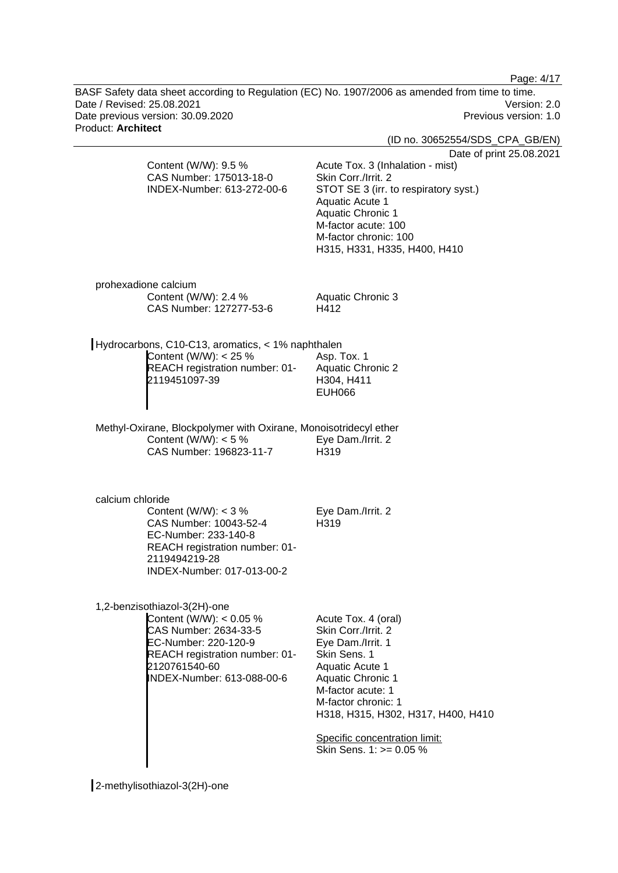Page: 4/17

BASF Safety data sheet according to Regulation (EC) No. 1907/2006 as amended from time to time. Date / Revised: 25.08.2021 Version: 2.0 Date previous version: 30.09.2020 **Previous version: 1.0** Previous version: 1.0 Product: **Architect** 

(ID no. 30652554/SDS\_CPA\_GB/EN)

 $25.08.2021$ 

|                  | Content (W/W): 9.5 %<br>CAS Number: 175013-18-0<br>INDEX-Number: 613-272-00-6                                                                                                             | Date of print 2<br>Acute Tox. 3 (Inhalation - mist)<br>Skin Corr./Irrit. 2<br>STOT SE 3 (irr. to respiratory syst.)<br>Aquatic Acute 1<br><b>Aquatic Chronic 1</b><br>M-factor acute: 100<br>M-factor chronic: 100<br>H315, H331, H335, H400, H410                           |
|------------------|-------------------------------------------------------------------------------------------------------------------------------------------------------------------------------------------|------------------------------------------------------------------------------------------------------------------------------------------------------------------------------------------------------------------------------------------------------------------------------|
|                  | prohexadione calcium<br>Content (W/W): 2.4 %<br>CAS Number: 127277-53-6                                                                                                                   | Aquatic Chronic 3<br>H412                                                                                                                                                                                                                                                    |
|                  | Hydrocarbons, C10-C13, aromatics, < 1% naphthalen<br>Content (W/W): $<$ 25 %<br>REACH registration number: 01-<br>2119451097-39                                                           | Asp. Tox. 1<br><b>Aquatic Chronic 2</b><br>H304, H411<br><b>EUH066</b>                                                                                                                                                                                                       |
|                  | Methyl-Oxirane, Blockpolymer with Oxirane, Monoisotridecyl ether<br>Content (W/W): $<$ 5 %<br>CAS Number: 196823-11-7                                                                     | Eye Dam./Irrit. 2<br>H319                                                                                                                                                                                                                                                    |
| calcium chloride | Content (W/W): $<$ 3 %<br>CAS Number: 10043-52-4<br>EC-Number: 233-140-8<br>REACH registration number: 01-<br>2119494219-28<br>INDEX-Number: 017-013-00-2                                 | Eye Dam./Irrit. 2<br>H319                                                                                                                                                                                                                                                    |
|                  | 1,2-benzisothiazol-3(2H)-one<br>Content (W/W): < 0.05 %<br>CAS Number: 2634-33-5<br>EC-Number: 220-120-9<br>REACH registration number: 01-<br>2120761540-60<br>INDEX-Number: 613-088-00-6 | Acute Tox. 4 (oral)<br>Skin Corr./Irrit. 2<br>Eye Dam./Irrit. 1<br>Skin Sens. 1<br>Aquatic Acute 1<br><b>Aquatic Chronic 1</b><br>M-factor acute: 1<br>M-factor chronic: 1<br>H318, H315, H302, H317, H400, H410<br>Specific concentration limit:<br>Skin Sens. 1: >= 0.05 % |
|                  |                                                                                                                                                                                           |                                                                                                                                                                                                                                                                              |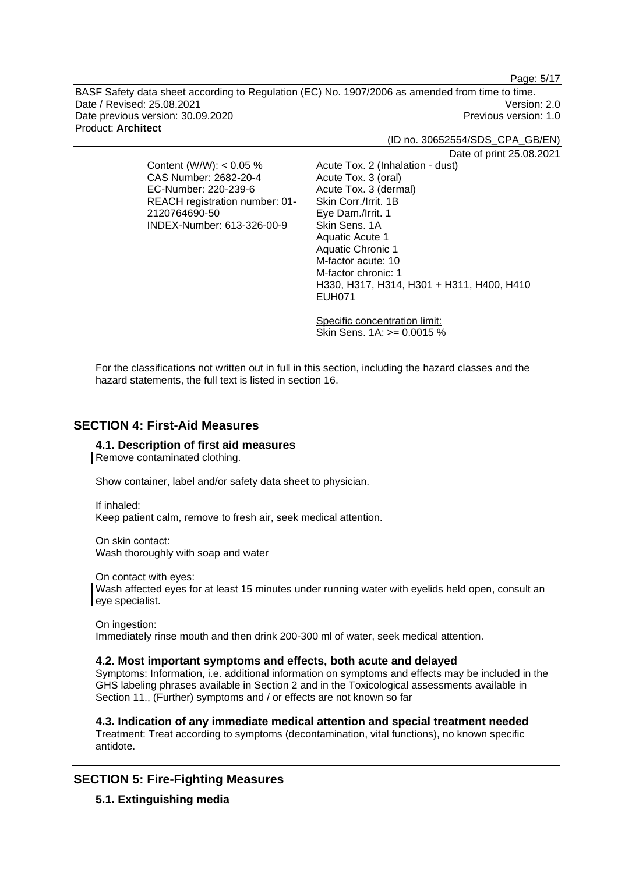Page: 5/17

BASF Safety data sheet according to Regulation (EC) No. 1907/2006 as amended from time to time. Date / Revised: 25.08.2021 Version: 2.0 Date previous version: 30.09.2020 **Previous version: 1.0** Previous version: 1.0 Product: **Architect** 

(ID no. 30652554/SDS\_CPA\_GB/EN)

Content (W/W):  $< 0.05 \%$ CAS Number: 2682-20-4 EC-Number: 220-239-6 REACH registration number: 01- 2120764690-50 INDEX-Number: 613-326-00-9

Date of print 25.08.2021

Acute Tox. 2 (Inhalation - dust) Acute Tox. 3 (oral) Acute Tox. 3 (dermal) Skin Corr./Irrit. 1B Eye Dam./Irrit. 1 Skin Sens. 1A Aquatic Acute 1 Aquatic Chronic 1 M-factor acute: 10 M-factor chronic: 1 H330, H317, H314, H301 + H311, H400, H410 EUH071

Specific concentration limit: Skin Sens. 1A: >= 0.0015 %

For the classifications not written out in full in this section, including the hazard classes and the hazard statements, the full text is listed in section 16.

## **SECTION 4: First-Aid Measures**

#### **4.1. Description of first aid measures**

Remove contaminated clothing.

Show container, label and/or safety data sheet to physician.

If inhaled: Keep patient calm, remove to fresh air, seek medical attention.

On skin contact: Wash thoroughly with soap and water

On contact with eyes: Wash affected eyes for at least 15 minutes under running water with eyelids held open, consult an eye specialist.

On ingestion: Immediately rinse mouth and then drink 200-300 ml of water, seek medical attention.

## **4.2. Most important symptoms and effects, both acute and delayed**

Symptoms: Information, i.e. additional information on symptoms and effects may be included in the GHS labeling phrases available in Section 2 and in the Toxicological assessments available in Section 11., (Further) symptoms and / or effects are not known so far

**4.3. Indication of any immediate medical attention and special treatment needed**  Treatment: Treat according to symptoms (decontamination, vital functions), no known specific antidote.

# **SECTION 5: Fire-Fighting Measures**

**5.1. Extinguishing media**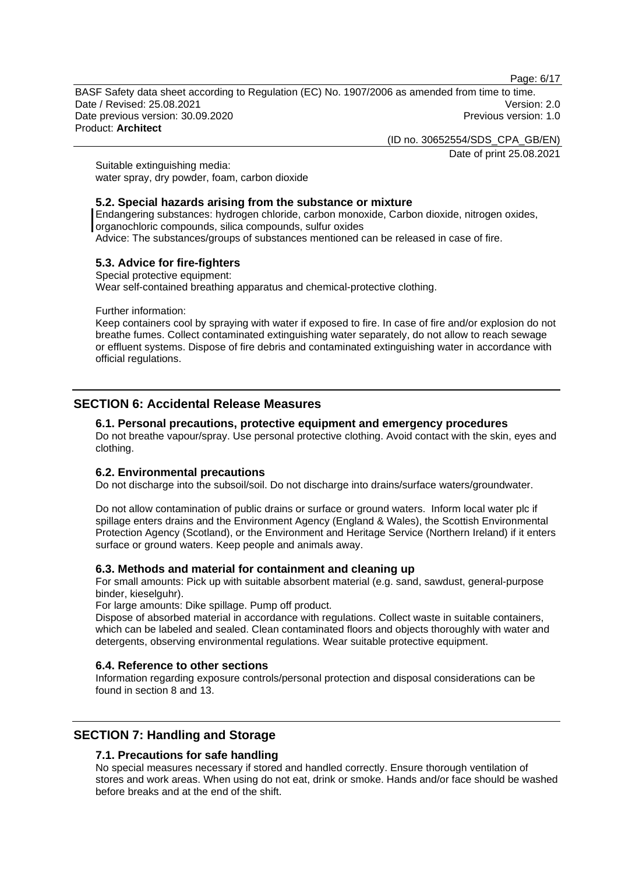Page: 6/17

BASF Safety data sheet according to Regulation (EC) No. 1907/2006 as amended from time to time. Date / Revised: 25.08.2021 Version: 2.0 Date previous version: 30.09.2020 **Previous version: 1.0** Previous version: 1.0 Product: **Architect** 

(ID no. 30652554/SDS\_CPA\_GB/EN)

Date of print 25.08.2021

Suitable extinguishing media: water spray, dry powder, foam, carbon dioxide

## **5.2. Special hazards arising from the substance or mixture**

Endangering substances: hydrogen chloride, carbon monoxide, Carbon dioxide, nitrogen oxides, organochloric compounds, silica compounds, sulfur oxides Advice: The substances/groups of substances mentioned can be released in case of fire.

## **5.3. Advice for fire-fighters**

Special protective equipment: Wear self-contained breathing apparatus and chemical-protective clothing.

Further information:

Keep containers cool by spraying with water if exposed to fire. In case of fire and/or explosion do not breathe fumes. Collect contaminated extinguishing water separately, do not allow to reach sewage or effluent systems. Dispose of fire debris and contaminated extinguishing water in accordance with official regulations.

# **SECTION 6: Accidental Release Measures**

#### **6.1. Personal precautions, protective equipment and emergency procedures**

Do not breathe vapour/spray. Use personal protective clothing. Avoid contact with the skin, eyes and clothing.

## **6.2. Environmental precautions**

Do not discharge into the subsoil/soil. Do not discharge into drains/surface waters/groundwater.

Do not allow contamination of public drains or surface or ground waters. Inform local water plc if spillage enters drains and the Environment Agency (England & Wales), the Scottish Environmental Protection Agency (Scotland), or the Environment and Heritage Service (Northern Ireland) if it enters surface or ground waters. Keep people and animals away.

## **6.3. Methods and material for containment and cleaning up**

For small amounts: Pick up with suitable absorbent material (e.g. sand, sawdust, general-purpose binder, kieselguhr).

For large amounts: Dike spillage. Pump off product.

Dispose of absorbed material in accordance with regulations. Collect waste in suitable containers, which can be labeled and sealed. Clean contaminated floors and objects thoroughly with water and detergents, observing environmental regulations. Wear suitable protective equipment.

## **6.4. Reference to other sections**

Information regarding exposure controls/personal protection and disposal considerations can be found in section 8 and 13.

## **SECTION 7: Handling and Storage**

## **7.1. Precautions for safe handling**

No special measures necessary if stored and handled correctly. Ensure thorough ventilation of stores and work areas. When using do not eat, drink or smoke. Hands and/or face should be washed before breaks and at the end of the shift.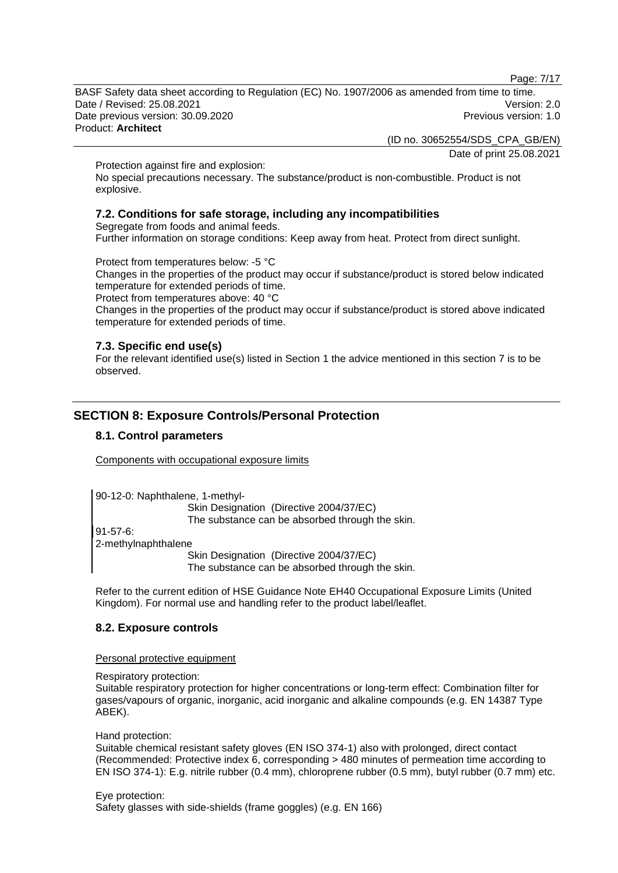Page: 7/17

BASF Safety data sheet according to Regulation (EC) No. 1907/2006 as amended from time to time. Date / Revised: 25.08.2021 Version: 2.0 Date previous version: 30.09.2020 **Previous version: 1.0** Previous version: 1.0 Product: **Architect** 

(ID no. 30652554/SDS\_CPA\_GB/EN)

Date of print 25.08.2021

Protection against fire and explosion:

No special precautions necessary. The substance/product is non-combustible. Product is not explosive.

## **7.2. Conditions for safe storage, including any incompatibilities**

Segregate from foods and animal feeds. Further information on storage conditions: Keep away from heat. Protect from direct sunlight.

Protect from temperatures below: -5 °C Changes in the properties of the product may occur if substance/product is stored below indicated temperature for extended periods of time. Protect from temperatures above: 40 °C

Changes in the properties of the product may occur if substance/product is stored above indicated temperature for extended periods of time.

## **7.3. Specific end use(s)**

For the relevant identified use(s) listed in Section 1 the advice mentioned in this section 7 is to be observed.

# **SECTION 8: Exposure Controls/Personal Protection**

#### **8.1. Control parameters**

Components with occupational exposure limits

90-12-0: Naphthalene, 1-methyl-Skin Designation (Directive 2004/37/EC) The substance can be absorbed through the skin. 91-57-6:

2-methylnaphthalene

Skin Designation (Directive 2004/37/EC) The substance can be absorbed through the skin.

Refer to the current edition of HSE Guidance Note EH40 Occupational Exposure Limits (United Kingdom). For normal use and handling refer to the product label/leaflet.

## **8.2. Exposure controls**

Personal protective equipment

Respiratory protection:

Suitable respiratory protection for higher concentrations or long-term effect: Combination filter for gases/vapours of organic, inorganic, acid inorganic and alkaline compounds (e.g. EN 14387 Type ABEK).

Hand protection:

Suitable chemical resistant safety gloves (EN ISO 374-1) also with prolonged, direct contact (Recommended: Protective index 6, corresponding > 480 minutes of permeation time according to EN ISO 374-1): E.g. nitrile rubber (0.4 mm), chloroprene rubber (0.5 mm), butyl rubber (0.7 mm) etc.

Eye protection: Safety glasses with side-shields (frame goggles) (e.g. EN 166)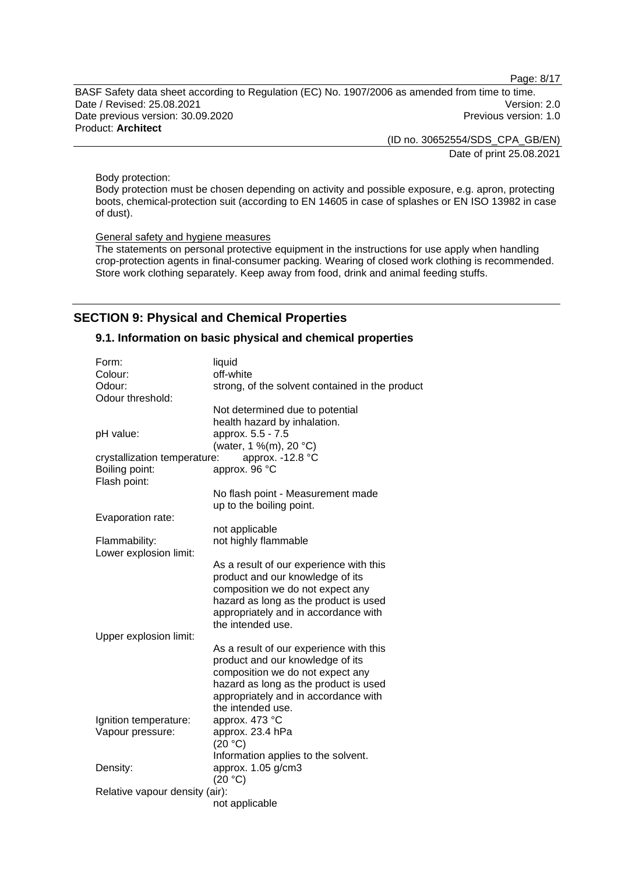Page: 8/17

BASF Safety data sheet according to Regulation (EC) No. 1907/2006 as amended from time to time. Date / Revised: 25.08.2021 Version: 2.0 Date previous version: 30.09.2020 **Previous version: 1.0** Previous version: 1.0 Product: **Architect** 

> (ID no. 30652554/SDS\_CPA\_GB/EN) Date of print 25.08.2021

Body protection:

Body protection must be chosen depending on activity and possible exposure, e.g. apron, protecting boots, chemical-protection suit (according to EN 14605 in case of splashes or EN ISO 13982 in case of dust).

## General safety and hygiene measures

The statements on personal protective equipment in the instructions for use apply when handling crop-protection agents in final-consumer packing. Wearing of closed work clothing is recommended. Store work clothing separately. Keep away from food, drink and animal feeding stuffs.

# **SECTION 9: Physical and Chemical Properties**

#### **9.1. Information on basic physical and chemical properties**

| Form:<br>Colour:               | liquid<br>off-white                                                           |
|--------------------------------|-------------------------------------------------------------------------------|
| Odour:                         | strong, of the solvent contained in the product                               |
| Odour threshold:               |                                                                               |
|                                | Not determined due to potential                                               |
| pH value:                      | health hazard by inhalation.<br>approx. 5.5 - 7.5                             |
|                                | (water, 1 %(m), 20 °C)                                                        |
| crystallization temperature:   | approx. -12.8 °C                                                              |
| Boiling point:<br>Flash point: | approx. 96 °C                                                                 |
|                                | No flash point - Measurement made                                             |
|                                | up to the boiling point.                                                      |
| Evaporation rate:              |                                                                               |
| Flammability:                  | not applicable<br>not highly flammable                                        |
| Lower explosion limit:         |                                                                               |
|                                | As a result of our experience with this                                       |
|                                | product and our knowledge of its                                              |
|                                | composition we do not expect any                                              |
|                                | hazard as long as the product is used<br>appropriately and in accordance with |
|                                | the intended use.                                                             |
| Upper explosion limit:         |                                                                               |
|                                | As a result of our experience with this                                       |
|                                | product and our knowledge of its                                              |
|                                | composition we do not expect any                                              |
|                                | hazard as long as the product is used<br>appropriately and in accordance with |
|                                | the intended use.                                                             |
| Ignition temperature:          | approx. 473 °C                                                                |
| Vapour pressure:               | approx. 23.4 hPa                                                              |
|                                | (20 °C)                                                                       |
|                                | Information applies to the solvent.                                           |
| Density:                       | approx. 1.05 g/cm3<br>(20 °C)                                                 |
| Relative vapour density (air): |                                                                               |
|                                | not applicable                                                                |
|                                |                                                                               |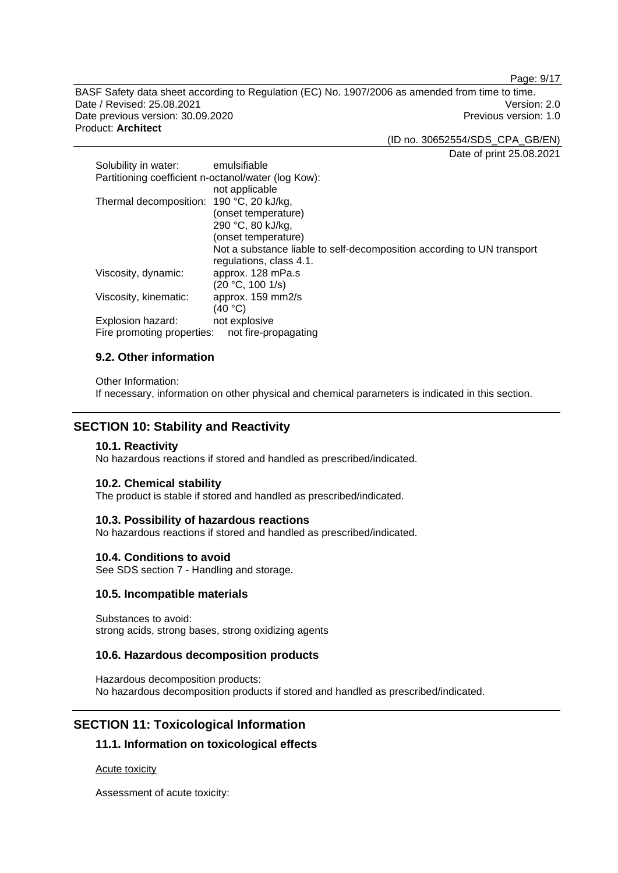Page: 9/17

BASF Safety data sheet according to Regulation (EC) No. 1907/2006 as amended from time to time. Date / Revised: 25.08.2021 Version: 2.0 Date previous version: 30.09.2020 **Previous version: 1.0** Previous version: 1.0 Product: **Architect** 

(ID no. 30652554/SDS\_CPA\_GB/EN)

Date of print 25.08.2021

| Solubility in water:                                | emulsifiable                                                           |
|-----------------------------------------------------|------------------------------------------------------------------------|
| Partitioning coefficient n-octanol/water (log Kow): |                                                                        |
|                                                     | not applicable                                                         |
| Thermal decomposition: 190 °C, 20 kJ/kg,            |                                                                        |
|                                                     | (onset temperature)                                                    |
|                                                     | 290 °C, 80 kJ/kg,                                                      |
|                                                     | (onset temperature)                                                    |
|                                                     | Not a substance liable to self-decomposition according to UN transport |
|                                                     | regulations, class 4.1.                                                |
| Viscosity, dynamic:                                 | approx. 128 mPa.s                                                      |
|                                                     | (20 °C, 100 1/s)                                                       |
| Viscosity, kinematic:                               | approx. 159 mm2/s                                                      |
|                                                     | (40 °C)                                                                |
| Explosion hazard:                                   | not explosive                                                          |
| Fire promoting properties:                          | not fire-propagating                                                   |

## **9.2. Other information**

Other Information:

If necessary, information on other physical and chemical parameters is indicated in this section.

# **SECTION 10: Stability and Reactivity**

#### **10.1. Reactivity**

No hazardous reactions if stored and handled as prescribed/indicated.

## **10.2. Chemical stability**

The product is stable if stored and handled as prescribed/indicated.

## **10.3. Possibility of hazardous reactions**

No hazardous reactions if stored and handled as prescribed/indicated.

## **10.4. Conditions to avoid**

See SDS section 7 - Handling and storage.

## **10.5. Incompatible materials**

Substances to avoid: strong acids, strong bases, strong oxidizing agents

## **10.6. Hazardous decomposition products**

Hazardous decomposition products: No hazardous decomposition products if stored and handled as prescribed/indicated.

# **SECTION 11: Toxicological Information**

## **11.1. Information on toxicological effects**

#### Acute toxicity

Assessment of acute toxicity: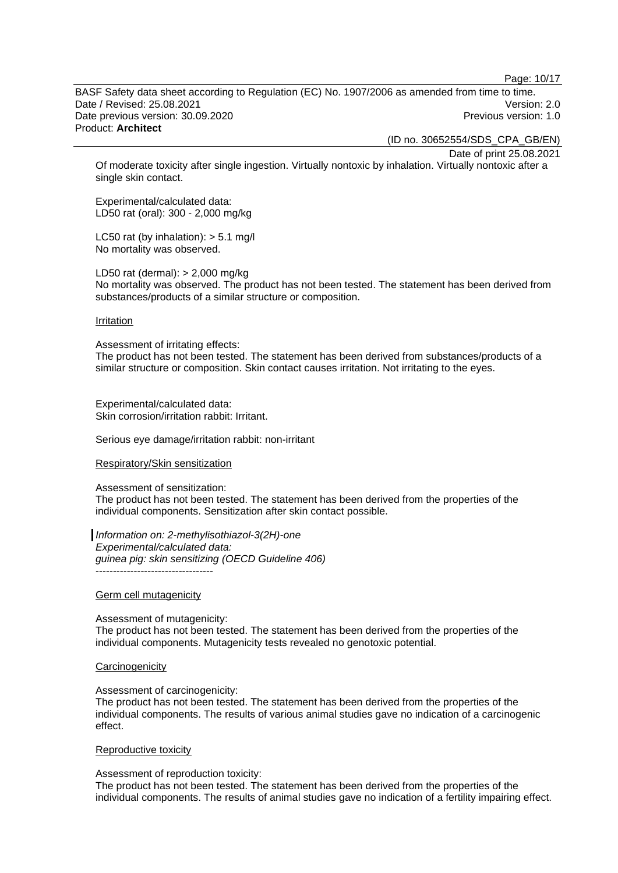Page: 10/17

BASF Safety data sheet according to Regulation (EC) No. 1907/2006 as amended from time to time. Date / Revised: 25.08.2021 Version: 2.0 Date previous version: 30.09.2020 **Previous version: 1.0** Previous version: 1.0 Product: **Architect** 

(ID no. 30652554/SDS\_CPA\_GB/EN)

Date of print 25.08.2021

Of moderate toxicity after single ingestion. Virtually nontoxic by inhalation. Virtually nontoxic after a single skin contact.

Experimental/calculated data: LD50 rat (oral): 300 - 2,000 mg/kg

LC50 rat (by inhalation):  $> 5.1$  mg/l No mortality was observed.

LD50 rat (dermal): > 2,000 mg/kg No mortality was observed. The product has not been tested. The statement has been derived from substances/products of a similar structure or composition.

#### Irritation

Assessment of irritating effects:

The product has not been tested. The statement has been derived from substances/products of a similar structure or composition. Skin contact causes irritation. Not irritating to the eyes.

Experimental/calculated data: Skin corrosion/irritation rabbit: Irritant.

Serious eye damage/irritation rabbit: non-irritant

#### Respiratory/Skin sensitization

Assessment of sensitization:

The product has not been tested. The statement has been derived from the properties of the individual components. Sensitization after skin contact possible.

*Information on: 2-methylisothiazol-3(2H)-one Experimental/calculated data: guinea pig: skin sensitizing (OECD Guideline 406)* ----------------------------------

#### Germ cell mutagenicity

Assessment of mutagenicity: The product has not been tested. The statement has been derived from the properties of the individual components. Mutagenicity tests revealed no genotoxic potential.

#### **Carcinogenicity**

Assessment of carcinogenicity:

The product has not been tested. The statement has been derived from the properties of the individual components. The results of various animal studies gave no indication of a carcinogenic effect.

#### Reproductive toxicity

Assessment of reproduction toxicity:

The product has not been tested. The statement has been derived from the properties of the individual components. The results of animal studies gave no indication of a fertility impairing effect.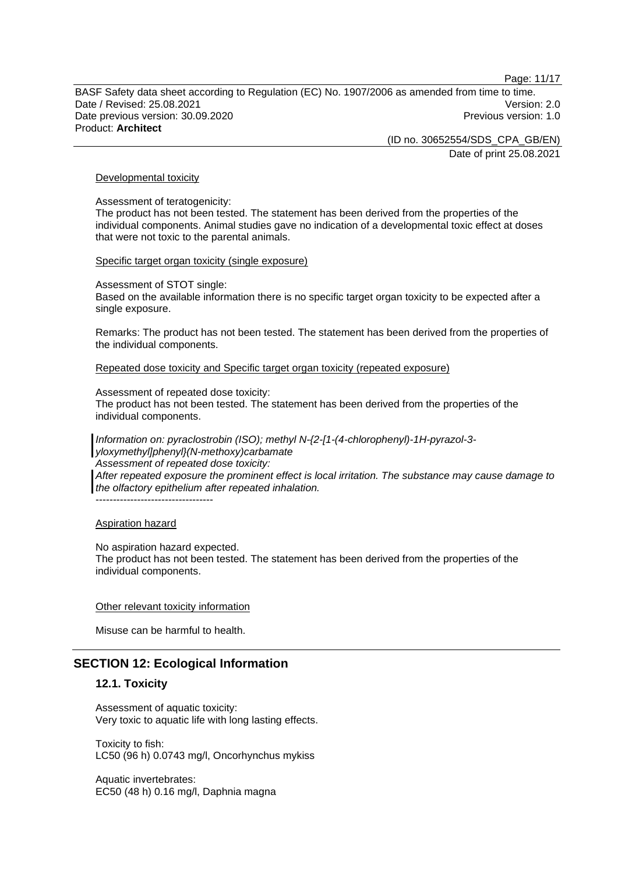Page: 11/17

BASF Safety data sheet according to Regulation (EC) No. 1907/2006 as amended from time to time. Date / Revised: 25.08.2021 Version: 2.0 Date previous version: 30.09.2020 **Previous version: 1.0** Previous version: 1.0 Product: **Architect** 

> (ID no. 30652554/SDS\_CPA\_GB/EN) Date of print 25.08.2021

Developmental toxicity

Assessment of teratogenicity:

The product has not been tested. The statement has been derived from the properties of the individual components. Animal studies gave no indication of a developmental toxic effect at doses that were not toxic to the parental animals.

#### Specific target organ toxicity (single exposure)

Assessment of STOT single: Based on the available information there is no specific target organ toxicity to be expected after a single exposure.

Remarks: The product has not been tested. The statement has been derived from the properties of the individual components.

Repeated dose toxicity and Specific target organ toxicity (repeated exposure)

Assessment of repeated dose toxicity:

The product has not been tested. The statement has been derived from the properties of the individual components.

*Information on: pyraclostrobin (ISO); methyl N-{2-[1-(4-chlorophenyl)-1H-pyrazol-3 yloxymethyl]phenyl}(N-methoxy)carbamate Assessment of repeated dose toxicity: After repeated exposure the prominent effect is local irritation. The substance may cause damage to* 

*the olfactory epithelium after repeated inhalation.*  ----------------------------------

#### Aspiration hazard

No aspiration hazard expected.

The product has not been tested. The statement has been derived from the properties of the individual components.

#### Other relevant toxicity information

Misuse can be harmful to health.

## **SECTION 12: Ecological Information**

#### **12.1. Toxicity**

Assessment of aquatic toxicity: Very toxic to aquatic life with long lasting effects.

Toxicity to fish: LC50 (96 h) 0.0743 mg/l, Oncorhynchus mykiss

Aquatic invertebrates: EC50 (48 h) 0.16 mg/l, Daphnia magna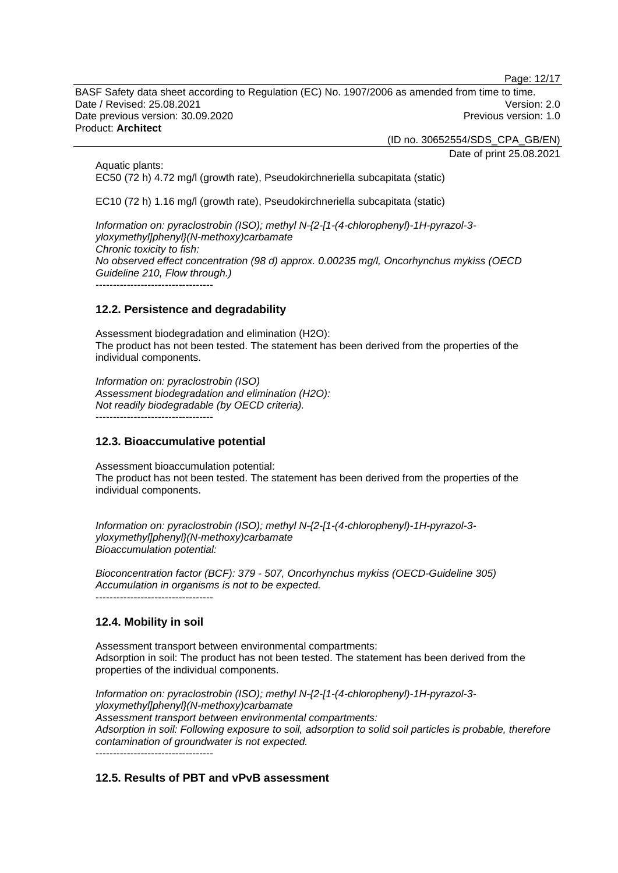Page: 12/17

BASF Safety data sheet according to Regulation (EC) No. 1907/2006 as amended from time to time. Date / Revised: 25.08.2021 Version: 2.0 Date previous version: 30.09.2020 **Previous version: 1.0** Previous version: 1.0 Product: **Architect** 

(ID no. 30652554/SDS\_CPA\_GB/EN)

Date of print 25.08.2021

Aquatic plants: EC50 (72 h) 4.72 mg/l (growth rate), Pseudokirchneriella subcapitata (static)

EC10 (72 h) 1.16 mg/l (growth rate), Pseudokirchneriella subcapitata (static)

*Information on: pyraclostrobin (ISO); methyl N-{2-[1-(4-chlorophenyl)-1H-pyrazol-3 yloxymethyl]phenyl}(N-methoxy)carbamate Chronic toxicity to fish: No observed effect concentration (98 d) approx. 0.00235 mg/l, Oncorhynchus mykiss (OECD Guideline 210, Flow through.)* 

----------------------------------

## **12.2. Persistence and degradability**

Assessment biodegradation and elimination (H2O): The product has not been tested. The statement has been derived from the properties of the individual components.

*Information on: pyraclostrobin (ISO) Assessment biodegradation and elimination (H2O): Not readily biodegradable (by OECD criteria).*  ----------------------------------

# **12.3. Bioaccumulative potential**

Assessment bioaccumulation potential: The product has not been tested. The statement has been derived from the properties of the individual components.

*Information on: pyraclostrobin (ISO); methyl N-{2-[1-(4-chlorophenyl)-1H-pyrazol-3 yloxymethyl]phenyl}(N-methoxy)carbamate Bioaccumulation potential:* 

*Bioconcentration factor (BCF): 379 - 507, Oncorhynchus mykiss (OECD-Guideline 305) Accumulation in organisms is not to be expected.*  -----------------------------------

# **12.4. Mobility in soil**

Assessment transport between environmental compartments: Adsorption in soil: The product has not been tested. The statement has been derived from the properties of the individual components.

*Information on: pyraclostrobin (ISO); methyl N-{2-[1-(4-chlorophenyl)-1H-pyrazol-3 yloxymethyl]phenyl}(N-methoxy)carbamate Assessment transport between environmental compartments: Adsorption in soil: Following exposure to soil, adsorption to solid soil particles is probable, therefore contamination of groundwater is not expected.* ----------------------------------

# **12.5. Results of PBT and vPvB assessment**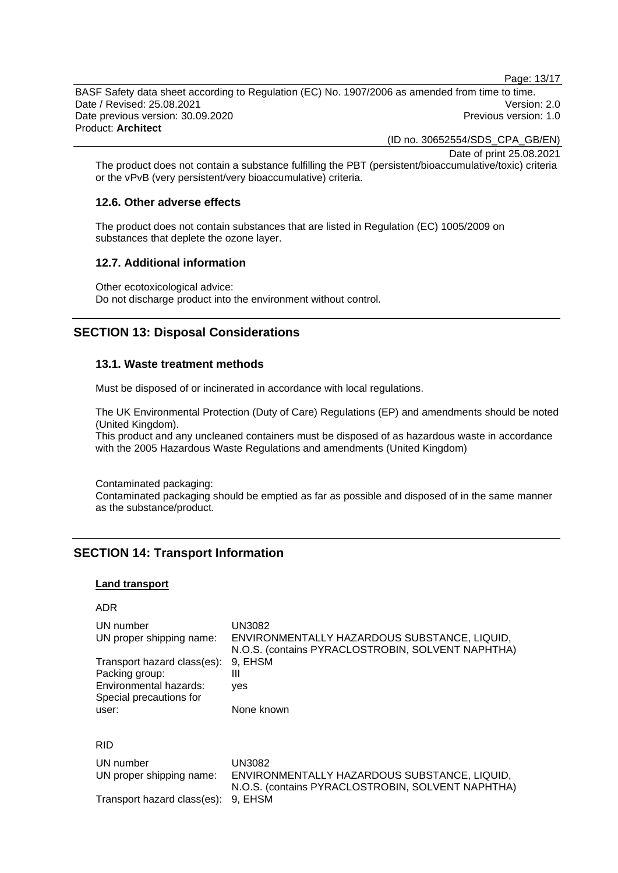Page: 13/17

BASF Safety data sheet according to Regulation (EC) No. 1907/2006 as amended from time to time. Date / Revised: 25.08.2021 Version: 2.0 Date previous version: 30.09.2020 **Previous version: 1.0** Previous version: 1.0 Product: **Architect** 

(ID no. 30652554/SDS\_CPA\_GB/EN)

Date of print 25.08.2021

The product does not contain a substance fulfilling the PBT (persistent/bioaccumulative/toxic) criteria or the vPvB (very persistent/very bioaccumulative) criteria.

#### **12.6. Other adverse effects**

The product does not contain substances that are listed in Regulation (EC) 1005/2009 on substances that deplete the ozone layer.

## **12.7. Additional information**

Other ecotoxicological advice: Do not discharge product into the environment without control.

# **SECTION 13: Disposal Considerations**

## **13.1. Waste treatment methods**

Must be disposed of or incinerated in accordance with local regulations.

The UK Environmental Protection (Duty of Care) Regulations (EP) and amendments should be noted (United Kingdom).

This product and any uncleaned containers must be disposed of as hazardous waste in accordance with the 2005 Hazardous Waste Regulations and amendments (United Kingdom)

Contaminated packaging:

Contaminated packaging should be emptied as far as possible and disposed of in the same manner as the substance/product.

# **SECTION 14: Transport Information**

#### **Land transport**

# ADR UN number UN3082 UN proper shipping name: ENVIRONMENTALLY HAZARDOUS SUBSTANCE, LIQUID, N.O.S. (contains PYRACLOSTROBIN, SOLVENT NAPHTHA) Transport hazard class(es): 9, EHSM Packing group: III Environmental hazards: yes Special precautions for user: None known RID UN number UN3082 UN proper shipping name: ENVIRONMENTALLY HAZARDOUS SUBSTANCE, LIQUID,

N.O.S. (contains PYRACLOSTROBIN, SOLVENT NAPHTHA) Transport hazard class(es): 9, EHSM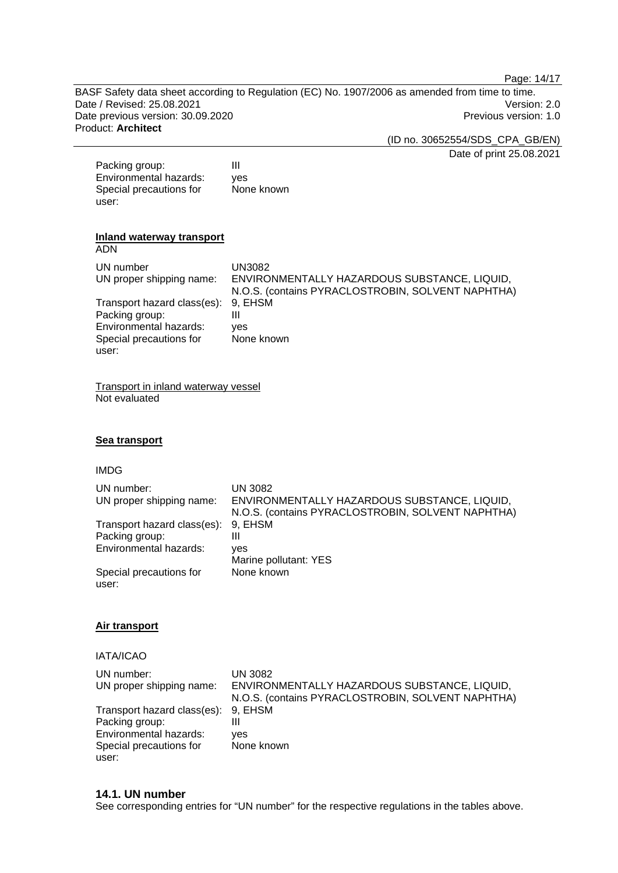Page: 14/17

BASF Safety data sheet according to Regulation (EC) No. 1907/2006 as amended from time to time. Date / Revised: 25.08.2021 Version: 2.0 Date previous version: 30.09.2020 **Previous version: 1.0** Previous version: 1.0 Product: **Architect** 

(ID no. 30652554/SDS\_CPA\_GB/EN)

Date of print 25.08.2021

| Packing group:          | Ш          |
|-------------------------|------------|
| Environmental hazards:  | ves        |
| Special precautions for | None known |
| user:                   |            |

#### **Inland waterway transport**  ADN

| UN number<br>UN proper shipping name:                                                                               | UN3082<br>ENVIRONMENTALLY HAZARDOUS SUBSTANCE, LIQUID,<br>N.O.S. (contains PYRACLOSTROBIN, SOLVENT NAPHTHA) |
|---------------------------------------------------------------------------------------------------------------------|-------------------------------------------------------------------------------------------------------------|
| Transport hazard class(es): 9, EHSM<br>Packing group:<br>Environmental hazards:<br>Special precautions for<br>user: | Ш<br>ves<br>None known                                                                                      |

Transport in inland waterway vessel Not evaluated

## **Sea transport**

IMDG

| UN number:<br>UN proper shipping name: | <b>UN 3082</b><br>ENVIRONMENTALLY HAZARDOUS SUBSTANCE, LIQUID,<br>N.O.S. (contains PYRACLOSTROBIN, SOLVENT NAPHTHA) |
|----------------------------------------|---------------------------------------------------------------------------------------------------------------------|
| Transport hazard class(es): 9, EHSM    |                                                                                                                     |
| Packing group:                         | Ш                                                                                                                   |
| Environmental hazards:                 | ves                                                                                                                 |
|                                        | Marine pollutant: YES                                                                                               |
| Special precautions for                | None known                                                                                                          |
| user:                                  |                                                                                                                     |

## **Air transport**

IATA/ICAO

| UN number:                          | UN 3082                                                                                           |
|-------------------------------------|---------------------------------------------------------------------------------------------------|
| UN proper shipping name:            | ENVIRONMENTALLY HAZARDOUS SUBSTANCE, LIQUID,<br>N.O.S. (contains PYRACLOSTROBIN, SOLVENT NAPHTHA) |
| Transport hazard class(es): 9, EHSM |                                                                                                   |
| Packing group:                      |                                                                                                   |
| Environmental hazards:              | <b>ves</b>                                                                                        |
| Special precautions for             | None known                                                                                        |
| user:                               |                                                                                                   |

## **14.1. UN number**

See corresponding entries for "UN number" for the respective regulations in the tables above.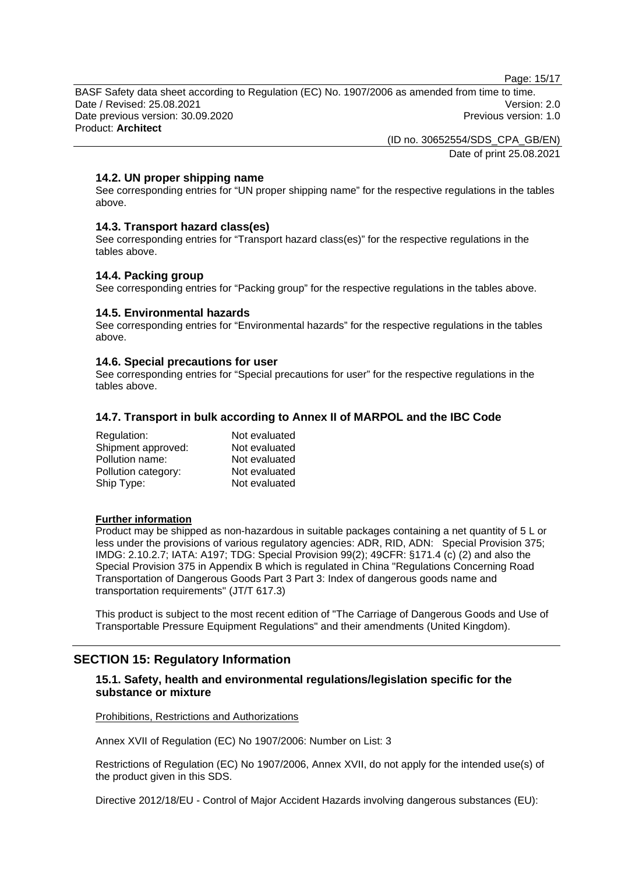Page: 15/17

BASF Safety data sheet according to Regulation (EC) No. 1907/2006 as amended from time to time. Date / Revised: 25.08.2021 Version: 2.0 Date previous version: 30.09.2020 **Previous version: 1.0** Previous version: 1.0 Product: **Architect** 

> (ID no. 30652554/SDS\_CPA\_GB/EN) Date of print 25.08.2021

# **14.2. UN proper shipping name**

See corresponding entries for "UN proper shipping name" for the respective regulations in the tables above.

## **14.3. Transport hazard class(es)**

See corresponding entries for "Transport hazard class(es)" for the respective regulations in the tables above.

#### **14.4. Packing group**

See corresponding entries for "Packing group" for the respective regulations in the tables above.

#### **14.5. Environmental hazards**

See corresponding entries for "Environmental hazards" for the respective regulations in the tables above.

#### **14.6. Special precautions for user**

See corresponding entries for "Special precautions for user" for the respective regulations in the tables above.

## **14.7. Transport in bulk according to Annex II of MARPOL and the IBC Code**

| Regulation:         | Not evaluated |
|---------------------|---------------|
| Shipment approved:  | Not evaluated |
| Pollution name:     | Not evaluated |
| Pollution category: | Not evaluated |
| Ship Type:          | Not evaluated |

#### **Further information**

Product may be shipped as non-hazardous in suitable packages containing a net quantity of 5 L or less under the provisions of various regulatory agencies: ADR, RID, ADN: Special Provision 375; IMDG: 2.10.2.7; IATA: A197; TDG: Special Provision 99(2); 49CFR: §171.4 (c) (2) and also the Special Provision 375 in Appendix B which is regulated in China "Regulations Concerning Road Transportation of Dangerous Goods Part 3 Part 3: Index of dangerous goods name and transportation requirements" (JT/T 617.3)

This product is subject to the most recent edition of "The Carriage of Dangerous Goods and Use of Transportable Pressure Equipment Regulations" and their amendments (United Kingdom).

# **SECTION 15: Regulatory Information**

## **15.1. Safety, health and environmental regulations/legislation specific for the substance or mixture**

Prohibitions, Restrictions and Authorizations

Annex XVII of Regulation (EC) No 1907/2006: Number on List: 3

Restrictions of Regulation (EC) No 1907/2006, Annex XVII, do not apply for the intended use(s) of the product given in this SDS.

Directive 2012/18/EU - Control of Major Accident Hazards involving dangerous substances (EU):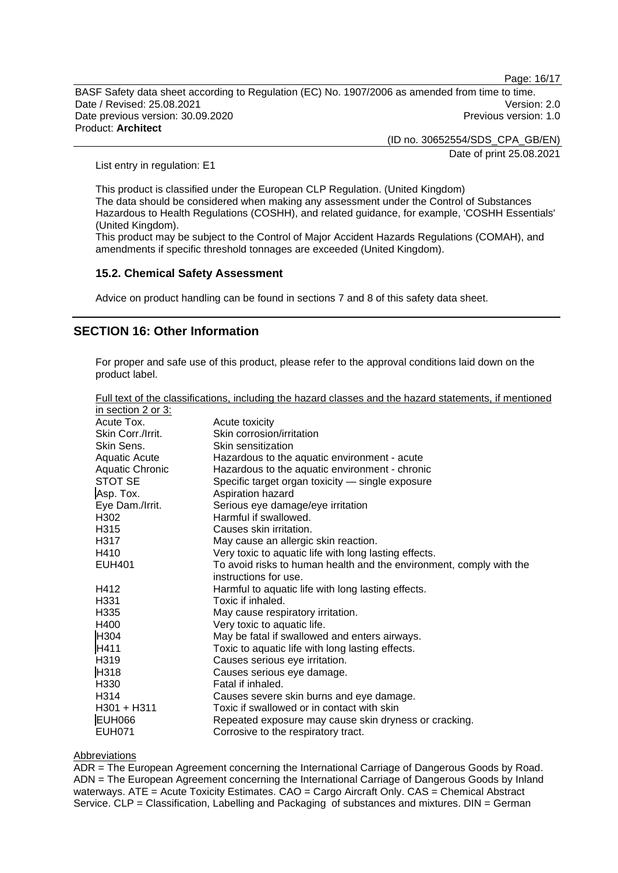Page: 16/17

BASF Safety data sheet according to Regulation (EC) No. 1907/2006 as amended from time to time. Date / Revised: 25.08.2021 Version: 2.0 Date previous version: 30.09.2020 **Previous version: 1.0** Previous version: 1.0 Product: **Architect** 

> (ID no. 30652554/SDS\_CPA\_GB/EN) Date of print 25.08.2021

List entry in regulation: E1

This product is classified under the European CLP Regulation. (United Kingdom) The data should be considered when making any assessment under the Control of Substances Hazardous to Health Regulations (COSHH), and related guidance, for example, 'COSHH Essentials' (United Kingdom).

This product may be subject to the Control of Major Accident Hazards Regulations (COMAH), and amendments if specific threshold tonnages are exceeded (United Kingdom).

#### **15.2. Chemical Safety Assessment**

Advice on product handling can be found in sections 7 and 8 of this safety data sheet.

## **SECTION 16: Other Information**

For proper and safe use of this product, please refer to the approval conditions laid down on the product label.

|                      | Full text of the classifications, including the hazard classes and the hazard statements, if mentioned |
|----------------------|--------------------------------------------------------------------------------------------------------|
| in section 2 or 3:   |                                                                                                        |
| Acute Tox.           | Acute toxicity                                                                                         |
| Skin Corr./Irrit.    | Skin corrosion/irritation                                                                              |
| Skin Sens.           | Skin sensitization                                                                                     |
| <b>Aquatic Acute</b> | Hazardous to the aquatic environment - acute                                                           |
| Aquatic Chronic      | Hazardous to the aquatic environment - chronic                                                         |
| STOT SE              | Specific target organ toxicity - single exposure                                                       |
| Asp. Tox.            | Aspiration hazard                                                                                      |
| Eye Dam./Irrit.      | Serious eye damage/eye irritation                                                                      |
| H <sub>302</sub>     | Harmful if swallowed.                                                                                  |
| H315                 | Causes skin irritation.                                                                                |
| H317                 | May cause an allergic skin reaction.                                                                   |
| H410                 | Very toxic to aquatic life with long lasting effects.                                                  |
| <b>EUH401</b>        | To avoid risks to human health and the environment, comply with the<br>instructions for use.           |
| H412                 | Harmful to aquatic life with long lasting effects.                                                     |
| H <sub>331</sub>     | Toxic if inhaled.                                                                                      |
| H335                 | May cause respiratory irritation.                                                                      |
| H400                 | Very toxic to aquatic life.                                                                            |
| H <sub>304</sub>     | May be fatal if swallowed and enters airways.                                                          |
| H411                 | Toxic to aquatic life with long lasting effects.                                                       |
| H <sub>319</sub>     | Causes serious eye irritation.                                                                         |
| H318                 | Causes serious eye damage.                                                                             |
| H330                 | Fatal if inhaled.                                                                                      |
| H314                 | Causes severe skin burns and eye damage.                                                               |
| $H301 + H311$        | Toxic if swallowed or in contact with skin                                                             |
| <b>EUH066</b>        | Repeated exposure may cause skin dryness or cracking.                                                  |
| <b>EUH071</b>        | Corrosive to the respiratory tract.                                                                    |

#### Abbreviations

ADR = The European Agreement concerning the International Carriage of Dangerous Goods by Road. ADN = The European Agreement concerning the International Carriage of Dangerous Goods by Inland waterways. ATE = Acute Toxicity Estimates. CAO = Cargo Aircraft Only. CAS = Chemical Abstract Service. CLP = Classification, Labelling and Packaging of substances and mixtures. DIN = German